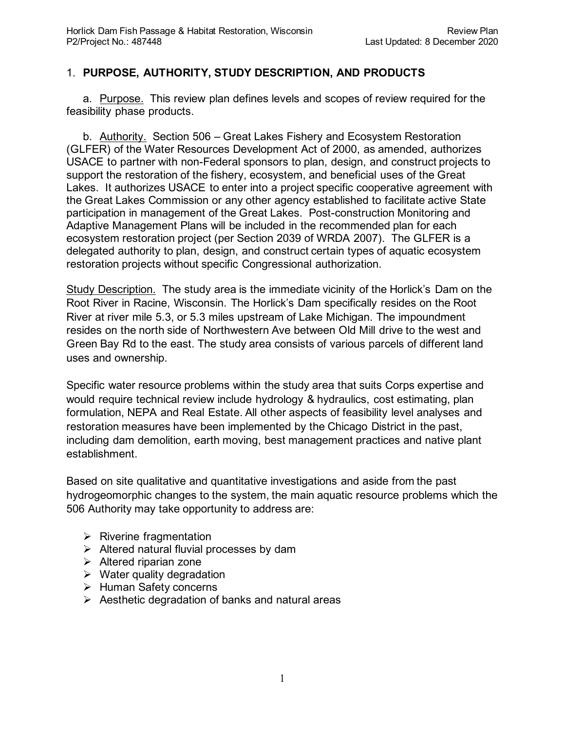## 1. **PURPOSE, AUTHORITY, STUDY DESCRIPTION, AND PRODUCTS**

a. Purpose. This review plan defines levels and scopes of review required for the feasibility phase products.

b. **Authority.** Section 506 – Great Lakes Fishery and Ecosystem Restoration (GLFER) of the Water Resources Development Act of 2000, as amended, authorizes USACE to partner with non-Federal sponsors to plan, design, and construct projects to support the restoration of the fishery, ecosystem, and beneficial uses of the Great Lakes. It authorizes USACE to enter into a project specific cooperative agreement with the Great Lakes Commission or any other agency established to facilitate active State participation in management of the Great Lakes. Post-construction Monitoring and Adaptive Management Plans will be included in the recommended plan for each ecosystem restoration project (per Section 2039 of WRDA 2007). The GLFER is a delegated authority to plan, design, and construct certain types of aquatic ecosystem restoration projects without specific Congressional authorization.

Study Description. The study area is the immediate vicinity of the Horlick's Dam on the Root River in Racine, Wisconsin. The Horlick's Dam specifically resides on the Root River at river mile 5.3, or 5.3 miles upstream of Lake Michigan. The impoundment resides on the north side of Northwestern Ave between Old Mill drive to the west and Green Bay Rd to the east. The study area consists of various parcels of different land uses and ownership.

Specific water resource problems within the study area that suits Corps expertise and would require technical review include hydrology & hydraulics, cost estimating, plan formulation, NEPA and Real Estate. All other aspects of feasibility level analyses and restoration measures have been implemented by the Chicago District in the past, including dam demolition, earth moving, best management practices and native plant establishment.

Based on site qualitative and quantitative investigations and aside from the past hydrogeomorphic changes to the system, the main aquatic resource problems which the 506 Authority may take opportunity to address are:

- $\triangleright$  Riverine fragmentation
- $\triangleright$  Altered natural fluvial processes by dam
- $\triangleright$  Altered riparian zone
- $\triangleright$  Water quality degradation
- $\triangleright$  Human Safety concerns
- $\triangleright$  Aesthetic degradation of banks and natural areas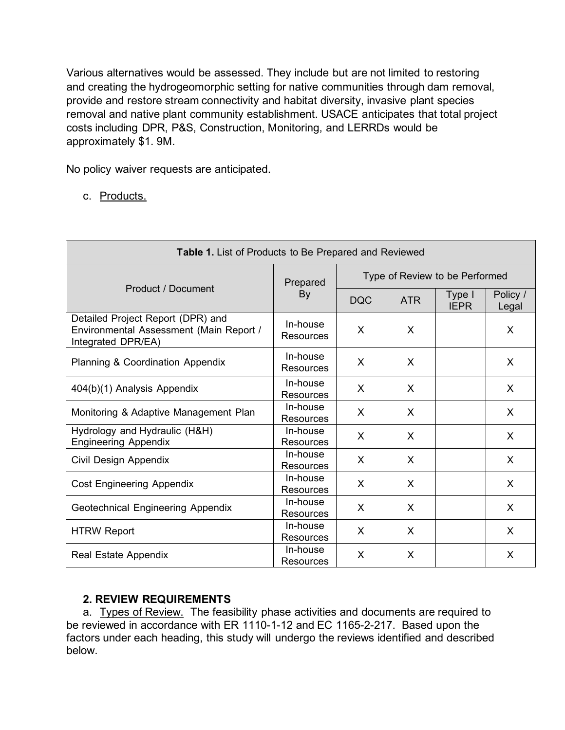Various alternatives would be assessed. They include but are not limited to restoring and creating the hydrogeomorphic setting for native communities through dam removal, provide and restore stream connectivity and habitat diversity, invasive plant species removal and native plant community establishment. USACE anticipates that total project costs including DPR, P&S, Construction, Monitoring, and LERRDs would be approximately \$1. 9M.

No policy waiver requests are anticipated.

c. Products.

| Table 1. List of Products to Be Prepared and Reviewed                                              |                              |                                |            |                       |                   |
|----------------------------------------------------------------------------------------------------|------------------------------|--------------------------------|------------|-----------------------|-------------------|
|                                                                                                    | Prepared                     | Type of Review to be Performed |            |                       |                   |
| Product / Document                                                                                 | By                           | <b>DQC</b>                     | <b>ATR</b> | Type I<br><b>IEPR</b> | Policy /<br>Legal |
| Detailed Project Report (DPR) and<br>Environmental Assessment (Main Report /<br>Integrated DPR/EA) | In-house<br><b>Resources</b> | X                              | X          |                       | X                 |
| <b>Planning &amp; Coordination Appendix</b>                                                        | In-house<br>Resources        | X                              | X          |                       | X                 |
| 404(b)(1) Analysis Appendix                                                                        | In-house<br><b>Resources</b> | X                              | X          |                       | X                 |
| Monitoring & Adaptive Management Plan                                                              | In-house<br>Resources        | X                              | X          |                       | X                 |
| Hydrology and Hydraulic (H&H)<br><b>Engineering Appendix</b>                                       | In-house<br>Resources        | $\mathsf{X}$                   | X          |                       | X                 |
| Civil Design Appendix                                                                              | In-house<br><b>Resources</b> | X                              | X          |                       | X                 |
| <b>Cost Engineering Appendix</b>                                                                   | In-house<br><b>Resources</b> | X                              | X          |                       | X                 |
| Geotechnical Engineering Appendix                                                                  | In-house<br>Resources        | $\mathsf{X}$                   | X          |                       | X                 |
| <b>HTRW Report</b>                                                                                 | In-house<br><b>Resources</b> | X                              | X          |                       | X                 |
| <b>Real Estate Appendix</b>                                                                        | In-house<br>Resources        | X                              | X          |                       | X                 |

## **2. REVIEW REQUIREMENTS**

a. Types of Review. The feasibility phase activities and documents are required to be reviewed in accordance with ER 1110-1-12 and EC 1165-2-217. Based upon the factors under each heading, this study will undergo the reviews identified and described below.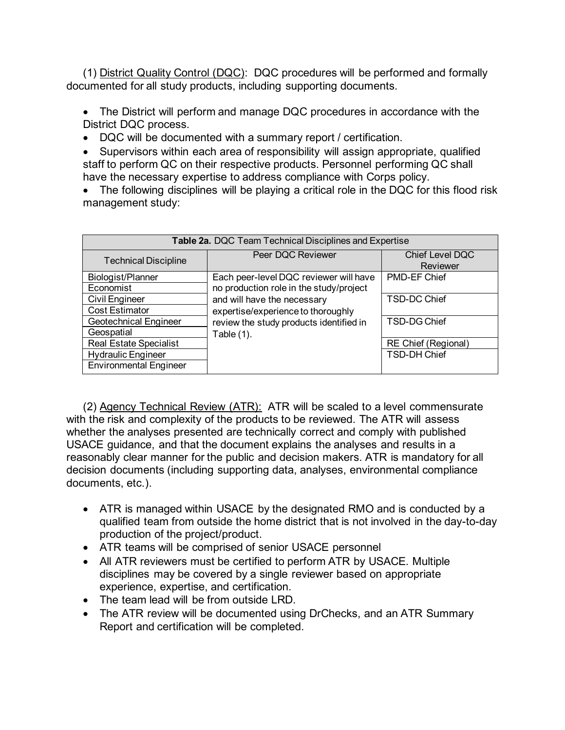(1) District Quality Control (DQC): DQC procedures will be performed and formally documented for all study products, including supporting documents.

• The District will perform and manage DQC procedures in accordance with the District DQC process.

• DQC will be documented with a summary report / certification.

• Supervisors within each area of responsibility will assign appropriate, qualified staff to perform QC on their respective products. Personnel performing QC shall have the necessary expertise to address compliance with Corps policy.

• The following disciplines will be playing a critical role in the DQC for this flood risk management study:

| Table 2a. DQC Team Technical Disciplines and Expertise |                                         |                             |  |
|--------------------------------------------------------|-----------------------------------------|-----------------------------|--|
| <b>Technical Discipline</b>                            | Peer DQC Reviewer                       | Chief Level DQC<br>Reviewer |  |
| Biologist/Planner                                      | Each peer-level DQC reviewer will have  | PMD-EF Chief                |  |
| Economist                                              | no production role in the study/project |                             |  |
| <b>Civil Engineer</b>                                  | and will have the necessary             | TSD-DC Chief                |  |
| <b>Cost Estimator</b>                                  | expertise/experience to thoroughly      |                             |  |
| <b>Geotechnical Engineer</b>                           | review the study products identified in | TSD-DG Chief                |  |
| Geospatial                                             | Table (1).                              |                             |  |
| <b>Real Estate Specialist</b>                          |                                         | <b>RE Chief (Regional)</b>  |  |
| <b>Hydraulic Engineer</b>                              |                                         | <b>TSD-DH Chief</b>         |  |
| <b>Environmental Engineer</b>                          |                                         |                             |  |

(2) Agency Technical Review (ATR): ATR will be scaled to a level commensurate with the risk and complexity of the products to be reviewed. The ATR will assess whether the analyses presented are technically correct and comply with published USACE guidance, and that the document explains the analyses and results in a reasonably clear manner for the public and decision makers. ATR is mandatory for all decision documents (including supporting data, analyses, environmental compliance documents, etc.).

- ATR is managed within USACE by the designated RMO and is conducted by a qualified team from outside the home district that is not involved in the day-to-day production of the project/product.
- ATR teams will be comprised of senior USACE personnel
- All ATR reviewers must be certified to perform ATR by USACE. Multiple disciplines may be covered by a single reviewer based on appropriate experience, expertise, and certification.
- The team lead will be from outside LRD.
- The ATR review will be documented using DrChecks, and an ATR Summary Report and certification will be completed.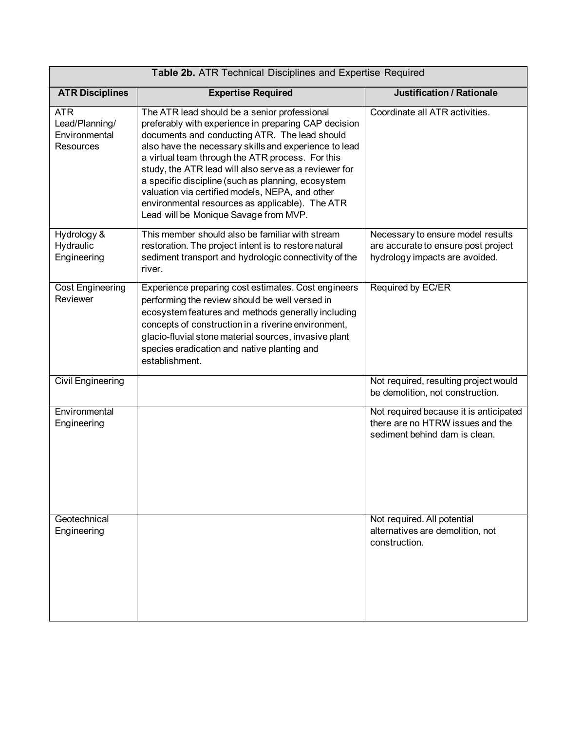| Table 2b. ATR Technical Disciplines and Expertise Required        |                                                                                                                                                                                                                                                                                                                                                                                                                                                                                                                                  |                                                                                                             |  |
|-------------------------------------------------------------------|----------------------------------------------------------------------------------------------------------------------------------------------------------------------------------------------------------------------------------------------------------------------------------------------------------------------------------------------------------------------------------------------------------------------------------------------------------------------------------------------------------------------------------|-------------------------------------------------------------------------------------------------------------|--|
| <b>ATR Disciplines</b>                                            | <b>Expertise Required</b>                                                                                                                                                                                                                                                                                                                                                                                                                                                                                                        | <b>Justification / Rationale</b>                                                                            |  |
| <b>ATR</b><br>Lead/Planning/<br>Environmental<br><b>Resources</b> | The ATR lead should be a senior professional<br>preferably with experience in preparing CAP decision<br>documents and conducting ATR. The lead should<br>also have the necessary skills and experience to lead<br>a virtual team through the ATR process. For this<br>study, the ATR lead will also serve as a reviewer for<br>a specific discipline (such as planning, ecosystem<br>valuation via certified models, NEPA, and other<br>environmental resources as applicable). The ATR<br>Lead will be Monique Savage from MVP. | Coordinate all ATR activities.                                                                              |  |
| Hydrology &<br>Hydraulic<br>Engineering                           | This member should also be familiar with stream<br>restoration. The project intent is to restore natural<br>sediment transport and hydrologic connectivity of the<br>river.                                                                                                                                                                                                                                                                                                                                                      | Necessary to ensure model results<br>are accurate to ensure post project<br>hydrology impacts are avoided.  |  |
| <b>Cost Engineering</b><br>Reviewer                               | Experience preparing cost estimates. Cost engineers<br>performing the review should be well versed in<br>ecosystem features and methods generally including<br>concepts of construction in a riverine environment,<br>glacio-fluvial stone material sources, invasive plant<br>species eradication and native planting and<br>establishment.                                                                                                                                                                                     | Required by EC/ER                                                                                           |  |
| <b>Civil Engineering</b>                                          |                                                                                                                                                                                                                                                                                                                                                                                                                                                                                                                                  | Not required, resulting project would<br>be demolition, not construction.                                   |  |
| Environmental<br>Engineering                                      |                                                                                                                                                                                                                                                                                                                                                                                                                                                                                                                                  | Not required because it is anticipated<br>there are no HTRW issues and the<br>sediment behind dam is clean. |  |
| Geotechnical<br>Engineering                                       |                                                                                                                                                                                                                                                                                                                                                                                                                                                                                                                                  | Not required. All potential<br>alternatives are demolition, not<br>construction.                            |  |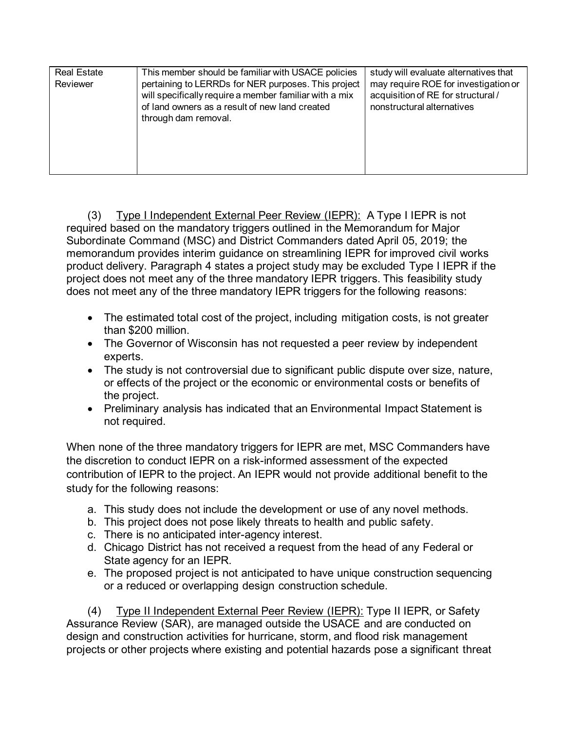| <b>Real Estate</b><br>Reviewer | This member should be familiar with USACE policies<br>pertaining to LERRDs for NER purposes. This project<br>will specifically require a member familiar with a mix | study will evaluate alternatives that<br>may require ROE for investigation or<br>acquisition of RE for structural / |
|--------------------------------|---------------------------------------------------------------------------------------------------------------------------------------------------------------------|---------------------------------------------------------------------------------------------------------------------|
|                                | of land owners as a result of new land created<br>through dam removal.                                                                                              | nonstructural alternatives                                                                                          |

(3) Type I Independent External Peer Review (IEPR): A Type I IEPR is not required based on the mandatory triggers outlined in the Memorandum for Major Subordinate Command (MSC) and District Commanders dated April 05, 2019; the memorandum provides interim guidance on streamlining IEPR for improved civil works product delivery. Paragraph 4 states a project study may be excluded Type I IEPR if the project does not meet any of the three mandatory IEPR triggers. This feasibility study does not meet any of the three mandatory IEPR triggers for the following reasons:

- The estimated total cost of the project, including mitigation costs, is not greater than \$200 million.
- The Governor of Wisconsin has not requested a peer review by independent experts.
- The study is not controversial due to significant public dispute over size, nature, or effects of the project or the economic or environmental costs or benefits of the project.
- Preliminary analysis has indicated that an Environmental Impact Statement is not required.

When none of the three mandatory triggers for IEPR are met, MSC Commanders have the discretion to conduct IEPR on a risk-informed assessment of the expected contribution of IEPR to the project. An IEPR would not provide additional benefit to the study for the following reasons:

- a. This study does not include the development or use of any novel methods.
- b. This project does not pose likely threats to health and public safety.
- c. There is no anticipated inter-agency interest.
- d. Chicago District has not received a request from the head of any Federal or State agency for an IEPR.
- e. The proposed project is not anticipated to have unique construction sequencing or a reduced or overlapping design construction schedule.

(4) Type II Independent External Peer Review (IEPR): Type II IEPR, or Safety Assurance Review (SAR), are managed outside the USACE and are conducted on design and construction activities for hurricane, storm, and flood risk management projects or other projects where existing and potential hazards pose a significant threat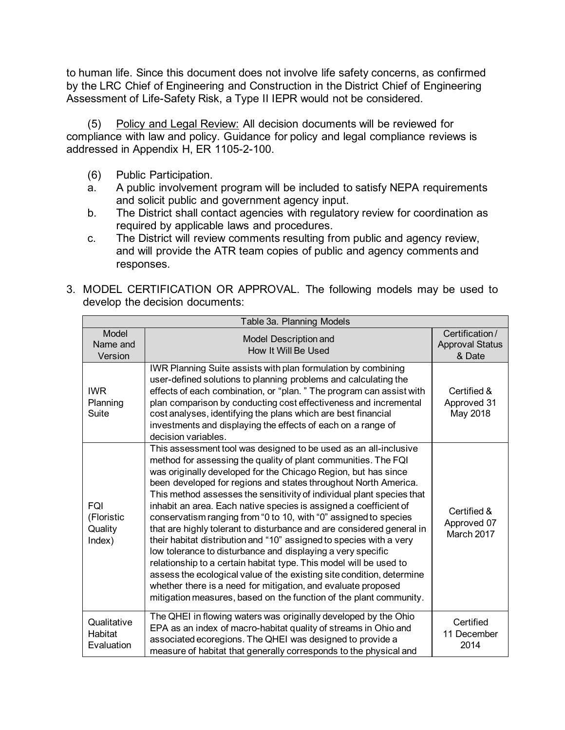to human life. Since this document does not involve life safety concerns, as confirmed by the LRC Chief of Engineering and Construction in the District Chief of Engineering Assessment of Life-Safety Risk, a Type II IEPR would not be considered.

(5) Policy and Legal Review: All decision documents will be reviewed for compliance with law and policy. Guidance for policy and legal compliance reviews is addressed in Appendix H, ER 1105-2-100.

- (6) Public Participation.
- a. A public involvement program will be included to satisfy NEPA requirements and solicit public and government agency input.
- b. The District shall contact agencies with regulatory review for coordination as required by applicable laws and procedures.
- c. The District will review comments resulting from public and agency review, and will provide the ATR team copies of public and agency comments and responses.

| Table 3a. Planning Models                     |                                                                                                                                                                                                                                                                                                                                                                                                                                                                                                                                                                                                                                                                                                                                                                                                                                                                                                                                                                                                |                                                    |  |
|-----------------------------------------------|------------------------------------------------------------------------------------------------------------------------------------------------------------------------------------------------------------------------------------------------------------------------------------------------------------------------------------------------------------------------------------------------------------------------------------------------------------------------------------------------------------------------------------------------------------------------------------------------------------------------------------------------------------------------------------------------------------------------------------------------------------------------------------------------------------------------------------------------------------------------------------------------------------------------------------------------------------------------------------------------|----------------------------------------------------|--|
| Model<br>Name and<br>Version                  | Model Description and<br>How It Will Be Used                                                                                                                                                                                                                                                                                                                                                                                                                                                                                                                                                                                                                                                                                                                                                                                                                                                                                                                                                   | Certification/<br><b>Approval Status</b><br>& Date |  |
| <b>IWR</b><br>Planning<br>Suite               | IWR Planning Suite assists with plan formulation by combining<br>user-defined solutions to planning problems and calculating the<br>effects of each combination, or "plan." The program can assist with<br>plan comparison by conducting cost effectiveness and incremental<br>cost analyses, identifying the plans which are best financial<br>investments and displaying the effects of each on a range of<br>decision variables.                                                                                                                                                                                                                                                                                                                                                                                                                                                                                                                                                            | Certified &<br>Approved 31<br>May 2018             |  |
| <b>FQI</b><br>(Floristic<br>Quality<br>Index) | This assessment tool was designed to be used as an all-inclusive<br>method for assessing the quality of plant communities. The FQI<br>was originally developed for the Chicago Region, but has since<br>been developed for regions and states throughout North America.<br>This method assesses the sensitivity of individual plant species that<br>inhabit an area. Each native species is assigned a coefficient of<br>conservatism ranging from "0 to 10, with "0" assigned to species<br>that are highly tolerant to disturbance and are considered general in<br>their habitat distribution and "10" assigned to species with a very<br>low tolerance to disturbance and displaying a very specific<br>relationship to a certain habitat type. This model will be used to<br>assess the ecological value of the existing site condition, determine<br>whether there is a need for mitigation, and evaluate proposed<br>mitigation measures, based on the function of the plant community. | Certified &<br>Approved 07<br>March 2017           |  |
| Qualitative<br>Habitat<br>Evaluation          | The QHEI in flowing waters was originally developed by the Ohio<br>EPA as an index of macro-habitat quality of streams in Ohio and<br>associated ecoregions. The QHEI was designed to provide a<br>measure of habitat that generally corresponds to the physical and                                                                                                                                                                                                                                                                                                                                                                                                                                                                                                                                                                                                                                                                                                                           | Certified<br>11 December<br>2014                   |  |

3. MODEL CERTIFICATION OR APPROVAL. The following models may be used to develop the decision documents: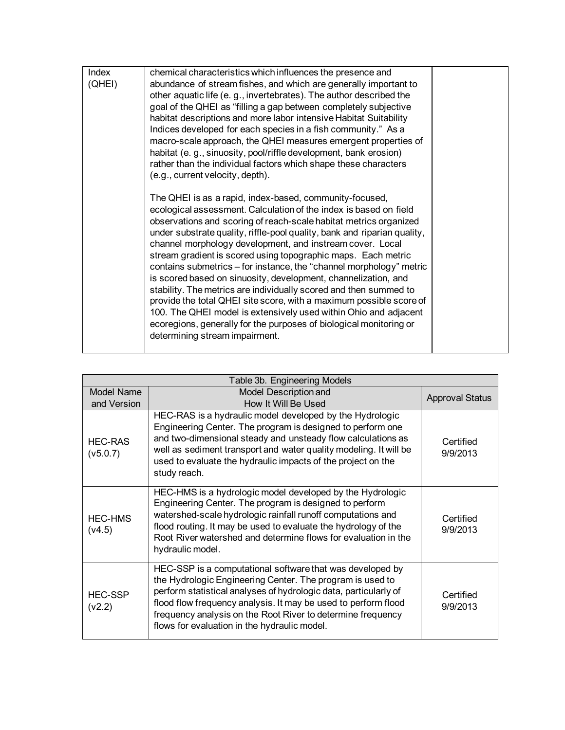| Index<br>(QHEI) | chemical characteristics which influences the presence and<br>abundance of stream fishes, and which are generally important to<br>other aquatic life (e.g., invertebrates). The author described the<br>goal of the QHEI as "filling a gap between completely subjective<br>habitat descriptions and more labor intensive Habitat Suitability<br>Indices developed for each species in a fish community." As a<br>macro-scale approach, the QHEI measures emergent properties of<br>habitat (e.g., sinuosity, pool/riffle development, bank erosion)<br>rather than the individual factors which shape these characters<br>(e.g., current velocity, depth).<br>The QHEI is as a rapid, index-based, community-focused,<br>ecological assessment. Calculation of the index is based on field<br>observations and scoring of reach-scale habitat metrics organized<br>under substrate quality, riffle-pool quality, bank and riparian quality,<br>channel morphology development, and instream cover. Local<br>stream gradient is scored using topographic maps. Each metric<br>contains submetrics – for instance, the "channel morphology" metric<br>is scored based on sinuosity, development, channelization, and<br>stability. The metrics are individually scored and then summed to<br>provide the total QHEI site score, with a maximum possible score of<br>100. The QHEI model is extensively used within Ohio and adjacent<br>ecoregions, generally for the purposes of biological monitoring or<br>determining stream impairment. |  |
|-----------------|---------------------------------------------------------------------------------------------------------------------------------------------------------------------------------------------------------------------------------------------------------------------------------------------------------------------------------------------------------------------------------------------------------------------------------------------------------------------------------------------------------------------------------------------------------------------------------------------------------------------------------------------------------------------------------------------------------------------------------------------------------------------------------------------------------------------------------------------------------------------------------------------------------------------------------------------------------------------------------------------------------------------------------------------------------------------------------------------------------------------------------------------------------------------------------------------------------------------------------------------------------------------------------------------------------------------------------------------------------------------------------------------------------------------------------------------------------------------------------------------------------------------------------------------|--|
|                 |                                                                                                                                                                                                                                                                                                                                                                                                                                                                                                                                                                                                                                                                                                                                                                                                                                                                                                                                                                                                                                                                                                                                                                                                                                                                                                                                                                                                                                                                                                                                             |  |

| Table 3b. Engineering Models |                                                                                                                                                                                                                                                                                                                                                                             |                        |  |
|------------------------------|-----------------------------------------------------------------------------------------------------------------------------------------------------------------------------------------------------------------------------------------------------------------------------------------------------------------------------------------------------------------------------|------------------------|--|
| <b>Model Name</b>            | Model Description and                                                                                                                                                                                                                                                                                                                                                       | <b>Approval Status</b> |  |
| and Version                  | How It Will Be Used                                                                                                                                                                                                                                                                                                                                                         |                        |  |
| <b>HEC-RAS</b><br>(v5.0.7)   | HEC-RAS is a hydraulic model developed by the Hydrologic<br>Engineering Center. The program is designed to perform one<br>and two-dimensional steady and unsteady flow calculations as<br>well as sediment transport and water quality modeling. It will be<br>used to evaluate the hydraulic impacts of the project on the<br>study reach.                                 | Certified<br>9/9/2013  |  |
| <b>HEC-HMS</b><br>(v4.5)     | HEC-HMS is a hydrologic model developed by the Hydrologic<br>Engineering Center. The program is designed to perform<br>watershed-scale hydrologic rainfall runoff computations and<br>flood routing. It may be used to evaluate the hydrology of the<br>Root River watershed and determine flows for evaluation in the<br>hydraulic model.                                  | Certified<br>9/9/2013  |  |
| <b>HEC-SSP</b><br>(v2.2)     | HEC-SSP is a computational software that was developed by<br>the Hydrologic Engineering Center. The program is used to<br>perform statistical analyses of hydrologic data, particularly of<br>flood flow frequency analysis. It may be used to perform flood<br>frequency analysis on the Root River to determine frequency<br>flows for evaluation in the hydraulic model. | Certified<br>9/9/2013  |  |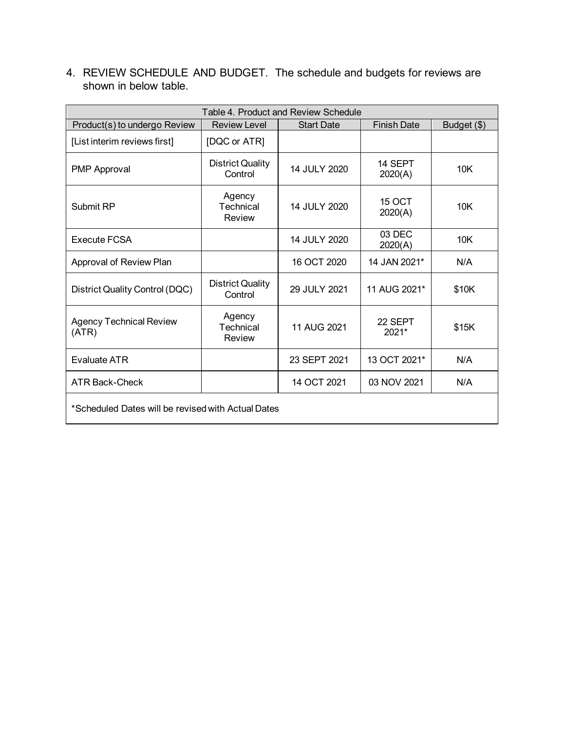4. REVIEW SCHEDULE AND BUDGET. The schedule and budgets for reviews are shown in below table.

| Table 4. Product and Review Schedule               |                                    |                   |                          |             |
|----------------------------------------------------|------------------------------------|-------------------|--------------------------|-------------|
| Product(s) to undergo Review                       | <b>Review Level</b>                | <b>Start Date</b> | <b>Finish Date</b>       | Budget (\$) |
| [List interim reviews first]                       | [DQC or ATR]                       |                   |                          |             |
| <b>PMP Approval</b>                                | <b>District Quality</b><br>Control | 14 JULY 2020      | 14 SEPT<br>2020(A)       | 10K         |
| Submit RP                                          | Agency<br>Technical<br>Review      | 14 JULY 2020      | <b>15 OCT</b><br>2020(A) | 10K         |
| Execute FCSA                                       |                                    | 14 JULY 2020      | 03 DEC<br>2020(A)        | 10K         |
| Approval of Review Plan                            |                                    | 16 OCT 2020       | 14 JAN 2021*             | N/A         |
| District Quality Control (DQC)                     | <b>District Quality</b><br>Control | 29 JULY 2021      | 11 AUG 2021*             | \$10K       |
| <b>Agency Technical Review</b><br>(ATR)            | Agency<br>Technical<br>Review      | 11 AUG 2021       | 22 SEPT<br>$2021*$       | \$15K       |
| <b>Evaluate ATR</b>                                |                                    | 23 SEPT 2021      | 13 OCT 2021*             | N/A         |
| <b>ATR Back-Check</b>                              |                                    | 14 OCT 2021       | 03 NOV 2021              | N/A         |
| *Scheduled Dates will be revised with Actual Dates |                                    |                   |                          |             |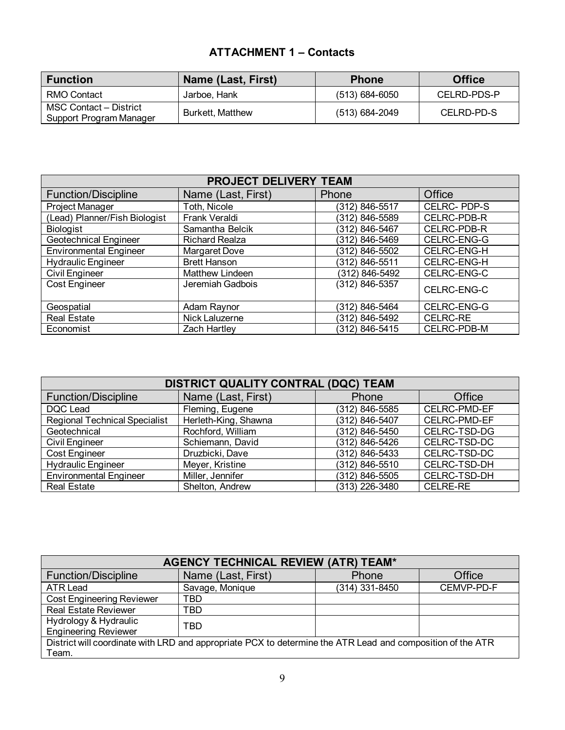## **ATTACHMENT 1 – Contacts**

| <b>Function</b>                                   | Name (Last, First) | <b>Phone</b>       | <b>Office</b> |
|---------------------------------------------------|--------------------|--------------------|---------------|
| RMO Contact                                       | Jarboe. Hank       | $(513) 684 - 6050$ | CELRD-PDS-P   |
| MSC Contact - District<br>Support Program Manager | Burkett, Matthew   | (513) 684-2049     | CELRD-PD-S    |

| PROJECT DELIVERY TEAM         |                        |                |                    |  |
|-------------------------------|------------------------|----------------|--------------------|--|
| <b>Function/Discipline</b>    | Name (Last, First)     | Phone          | Office             |  |
| Project Manager               | Toth, Nicole           | (312) 846-5517 | <b>CELRC-PDP-S</b> |  |
| (Lead) Planner/Fish Biologist | Frank Veraldi          | (312) 846-5589 | CELRC-PDB-R        |  |
| Biologist                     | Samantha Belcik        | (312) 846-5467 | <b>CELRC-PDB-R</b> |  |
| <b>Geotechnical Engineer</b>  | <b>Richard Realza</b>  | (312) 846-5469 | CELRC-ENG-G        |  |
| <b>Environmental Engineer</b> | Margaret Dove          | (312) 846-5502 | <b>CELRC-ENG-H</b> |  |
| <b>Hydraulic Engineer</b>     | <b>Brett Hanson</b>    | (312) 846-5511 | CELRC-ENG-H        |  |
| <b>Civil Engineer</b>         | <b>Matthew Lindeen</b> | (312) 846-5492 | CELRC-ENG-C        |  |
| Cost Engineer                 | Jeremiah Gadbois       | (312) 846-5357 | CELRC-ENG-C        |  |
| Geospatial                    | Adam Raynor            | (312) 846-5464 | CELRC-ENG-G        |  |
| <b>Real Estate</b>            | Nick Laluzerne         | (312) 846-5492 | <b>CELRC-RE</b>    |  |
| Economist                     | Zach Hartley           | (312) 846-5415 | <b>CELRC-PDB-M</b> |  |

| DISTRICT QUALITY CONTRAL (DQC) TEAM  |                      |                    |                 |  |
|--------------------------------------|----------------------|--------------------|-----------------|--|
| <b>Function/Discipline</b>           | Name (Last, First)   | Phone              | Office          |  |
| DQC Lead                             | Fleming, Eugene      | (312) 846-5585     | CELRC-PMD-EF    |  |
| <b>Regional Technical Specialist</b> | Herleth-King, Shawna | (312) 846-5407     | CELRC-PMD-EF    |  |
| Geotechnical                         | Rochford, William    | $(312)$ 846-5450   | CELRC-TSD-DG    |  |
| Civil Engineer                       | Schiemann, David     | $(312) 846 - 5426$ | CELRC-TSD-DC    |  |
| Cost Engineer                        | Druzbicki, Dave      | $(312) 846 - 5433$ | CELRC-TSD-DC    |  |
| <b>Hydraulic Engineer</b>            | Meyer, Kristine      | $(312)$ 846-5510   | CELRC-TSD-DH    |  |
| <b>Environmental Engineer</b>        | Miller, Jennifer     | (312) 846-5505     | CELRC-TSD-DH    |  |
| <b>Real Estate</b>                   | Shelton, Andrew      | (313) 226-3480     | <b>CELRE-RE</b> |  |

| <b>AGENCY TECHNICAL REVIEW (ATR) TEAM*</b>                                                                 |                    |                |            |  |
|------------------------------------------------------------------------------------------------------------|--------------------|----------------|------------|--|
| <b>Function/Discipline</b>                                                                                 | Name (Last, First) | Phone          | Office     |  |
| ATR Lead                                                                                                   | Savage, Monique    | (314) 331-8450 | CEMVP-PD-F |  |
| <b>Cost Engineering Reviewer</b>                                                                           | TBD                |                |            |  |
| <b>Real Estate Reviewer</b>                                                                                | TBD                |                |            |  |
| Hydrology & Hydraulic<br><b>Engineering Reviewer</b>                                                       | TBD                |                |            |  |
| District will coordinate with LRD and appropriate PCX to determine the ATR Lead and composition of the ATR |                    |                |            |  |
| Team.                                                                                                      |                    |                |            |  |